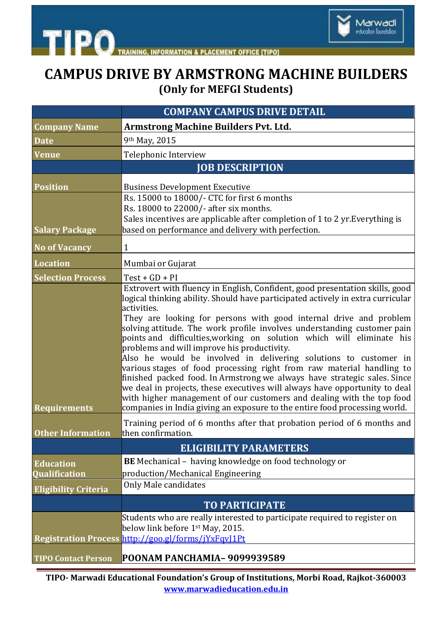

## **CAMPUS DRIVE BY ARMSTRONG MACHINE BUILDERS (Only for MEFGI Students)**

Marwadi<br>education foundation

|                             | <b>COMPANY CAMPUS DRIVE DETAIL</b>                                                                                                                                                                                                                                                                                                                                           |
|-----------------------------|------------------------------------------------------------------------------------------------------------------------------------------------------------------------------------------------------------------------------------------------------------------------------------------------------------------------------------------------------------------------------|
| <b>Company Name</b>         | <b>Armstrong Machine Builders Pvt. Ltd.</b>                                                                                                                                                                                                                                                                                                                                  |
| <b>Date</b>                 | 9th May, 2015                                                                                                                                                                                                                                                                                                                                                                |
| <b>Venue</b>                | Telephonic Interview                                                                                                                                                                                                                                                                                                                                                         |
|                             | <b>JOB DESCRIPTION</b>                                                                                                                                                                                                                                                                                                                                                       |
| <b>Position</b>             | <b>Business Development Executive</b>                                                                                                                                                                                                                                                                                                                                        |
|                             | Rs. 15000 to 18000/- CTC for first 6 months                                                                                                                                                                                                                                                                                                                                  |
|                             | Rs. 18000 to 22000/- after six months.                                                                                                                                                                                                                                                                                                                                       |
| <b>Salary Package</b>       | Sales incentives are applicable after completion of 1 to 2 yr. Everything is<br>based on performance and delivery with perfection.                                                                                                                                                                                                                                           |
|                             |                                                                                                                                                                                                                                                                                                                                                                              |
| <b>No of Vacancy</b>        | $\mathbf{1}$                                                                                                                                                                                                                                                                                                                                                                 |
| <b>Location</b>             | Mumbai or Gujarat                                                                                                                                                                                                                                                                                                                                                            |
| <b>Selection Process</b>    | $Test + GD + PI$                                                                                                                                                                                                                                                                                                                                                             |
|                             | Extrovert with fluency in English, Confident, good presentation skills, good<br>logical thinking ability. Should have participated actively in extra curricular<br>activities.                                                                                                                                                                                               |
|                             | They are looking for persons with good internal drive and problem<br>solving attitude. The work profile involves understanding customer pain                                                                                                                                                                                                                                 |
|                             | points and difficulties, working on solution which will eliminate his<br>problems and will improve his productivity.                                                                                                                                                                                                                                                         |
|                             | Also he would be involved in delivering solutions to customer in<br>various stages of food processing right from raw material handling to<br>finished packed food. In Armstrong we always have strategic sales. Since<br>we deal in projects, these executives will always have opportunity to deal<br>with higher management of our customers and dealing with the top food |
| <b>Requirements</b>         | companies in India giving an exposure to the entire food processing world.                                                                                                                                                                                                                                                                                                   |
| <b>Other Information</b>    | Training period of 6 months after that probation period of 6 months and<br>then confirmation.                                                                                                                                                                                                                                                                                |
|                             | <b>ELIGIBILITY PARAMETERS</b>                                                                                                                                                                                                                                                                                                                                                |
| <b>Education</b>            | <b>BE</b> Mechanical - having knowledge on food technology or                                                                                                                                                                                                                                                                                                                |
| <b>Qualification</b>        | production/Mechanical Engineering                                                                                                                                                                                                                                                                                                                                            |
| <b>Eligibility Criteria</b> | Only Male candidates                                                                                                                                                                                                                                                                                                                                                         |
|                             | <b>TO PARTICIPATE</b>                                                                                                                                                                                                                                                                                                                                                        |
|                             | Students who are really interested to participate required to register on                                                                                                                                                                                                                                                                                                    |
|                             | below link before 1st May, 2015.                                                                                                                                                                                                                                                                                                                                             |
|                             | Registration Process http://goo.gl/forms/jYxFqvJ1Pt                                                                                                                                                                                                                                                                                                                          |
| <b>TIPO Contact Person</b>  | POONAM PANCHAMIA-9099939589                                                                                                                                                                                                                                                                                                                                                  |

**TIPO- Marwadi Educational Foundation's Group of Institutions, Morbi Road, Rajkot-360003 www.marwadieducation.edu.in**